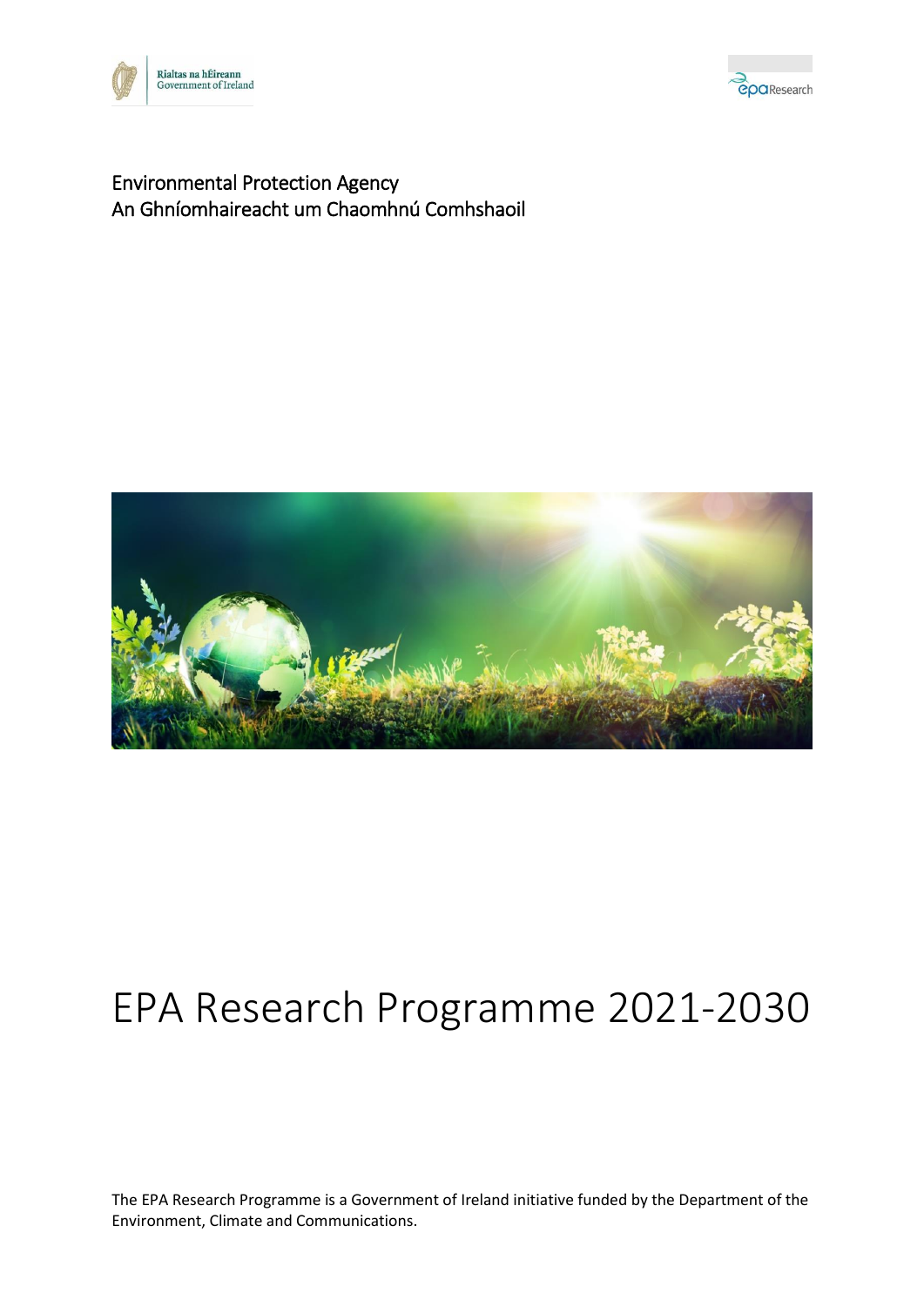



### Environmental Protection Agency An Ghníomhaireacht um Chaomhnú Comhshaoil



# EPA Research Programme 2021-2030

The EPA Research Programme is a Government of Ireland initiative funded by the Department of the Environment, Climate and Communications.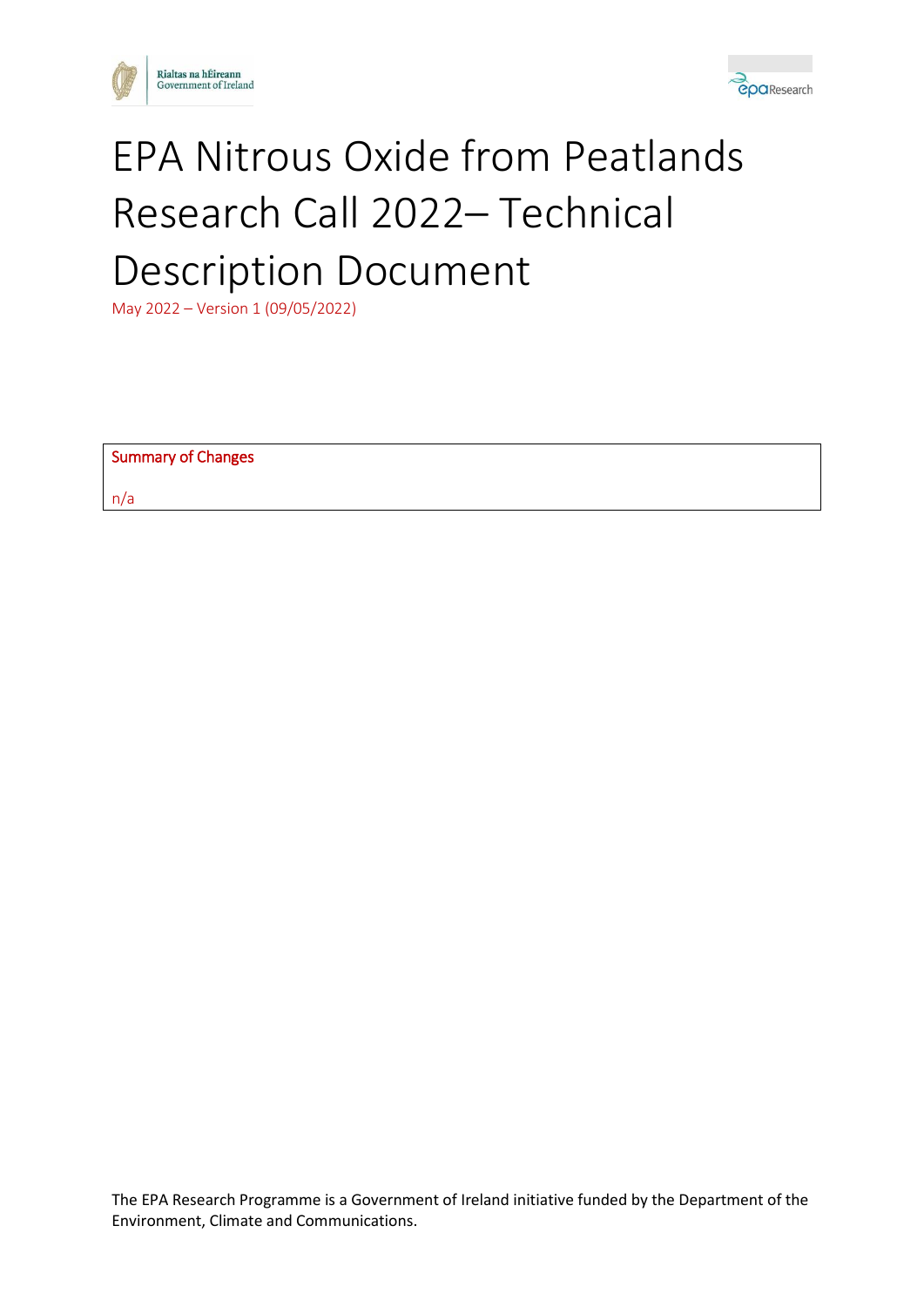



# EPA Nitrous Oxide from Peatlands Research Call 2022– Technical Description Document

May 2022 – Version 1 (09/05/2022)

| Summary of Changes |  |
|--------------------|--|
| n/a                |  |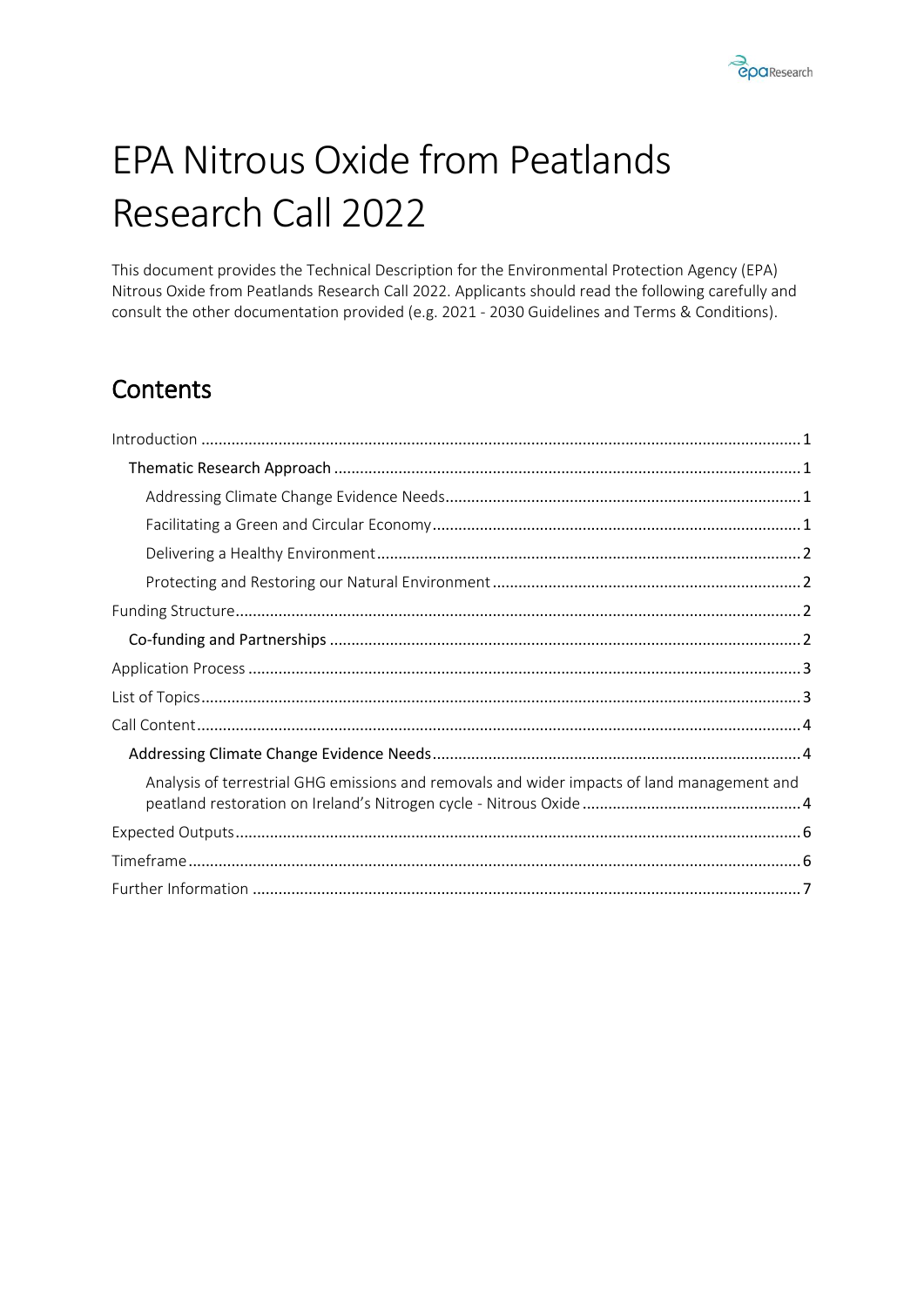

# EPA Nitrous Oxide from Peatlands Research Call 2022

This document provides the Technical Description for the Environmental Protection Agency (EPA) Nitrous Oxide from Peatlands Research Call 2022. Applicants should read the following carefully and consult the other documentation provided (e.g. 2021 - 2030 Guidelines and Terms & Conditions).

# **Contents**

| Analysis of terrestrial GHG emissions and removals and wider impacts of land management and |  |
|---------------------------------------------------------------------------------------------|--|
|                                                                                             |  |
|                                                                                             |  |
|                                                                                             |  |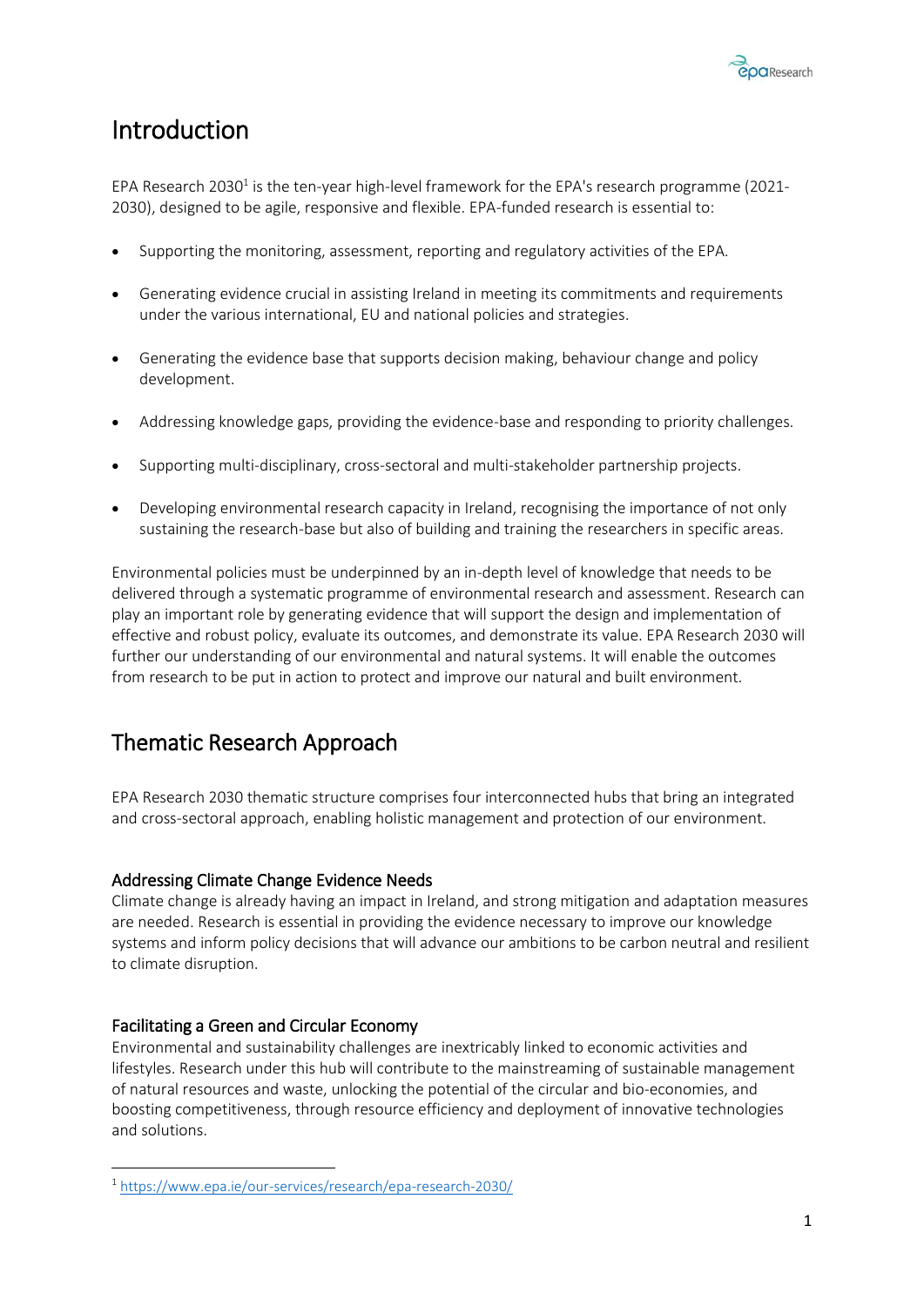

### <span id="page-3-0"></span>Introduction

EPA Research 2030<sup>1</sup> is the ten-year high-level framework for the EPA's research programme (2021-2030), designed to be agile, responsive and flexible. EPA-funded research is essential to:

- Supporting the monitoring, assessment, reporting and regulatory activities of the EPA.
- Generating evidence crucial in assisting Ireland in meeting its commitments and requirements under the various international, EU and national policies and strategies.
- Generating the evidence base that supports decision making, behaviour change and policy development.
- Addressing knowledge gaps, providing the evidence-base and responding to priority challenges.
- Supporting multi-disciplinary, cross-sectoral and multi-stakeholder partnership projects.
- Developing environmental research capacity in Ireland, recognising the importance of not only sustaining the research-base but also of building and training the researchers in specific areas.

Environmental policies must be underpinned by an in-depth level of knowledge that needs to be delivered through a systematic programme of environmental research and assessment. Research can play an important role by generating evidence that will support the design and implementation of effective and robust policy, evaluate its outcomes, and demonstrate its value. EPA Research 2030 will further our understanding of our environmental and natural systems. It will enable the outcomes from research to be put in action to protect and improve our natural and built environment.

### <span id="page-3-1"></span>Thematic Research Approach

EPA Research 2030 thematic structure comprises four interconnected hubs that bring an integrated and cross-sectoral approach, enabling holistic management and protection of our environment.

#### <span id="page-3-2"></span>Addressing Climate Change Evidence Needs

Climate change is already having an impact in Ireland, and strong mitigation and adaptation measures are needed. Research is essential in providing the evidence necessary to improve our knowledge systems and inform policy decisions that will advance our ambitions to be carbon neutral and resilient to climate disruption.

#### <span id="page-3-3"></span>Facilitating a Green and Circular Economy

**.** 

Environmental and sustainability challenges are inextricably linked to economic activities and lifestyles. Research under this hub will contribute to the mainstreaming of sustainable management of natural resources and waste, unlocking the potential of the circular and bio-economies, and boosting competitiveness, through resource efficiency and deployment of innovative technologies and solutions.

<sup>1</sup> <https://www.epa.ie/our-services/research/epa-research-2030/>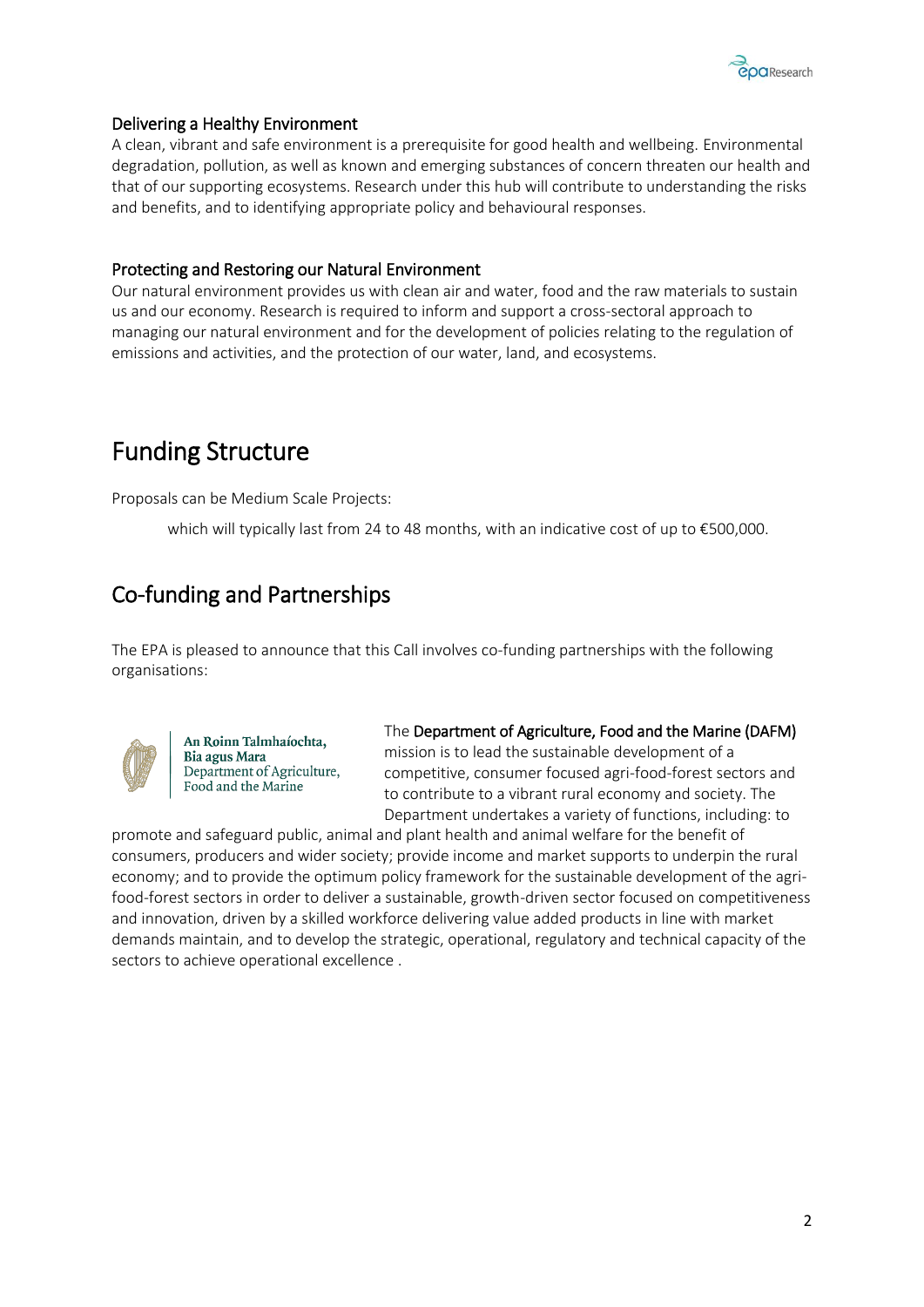

#### <span id="page-4-0"></span>Delivering a Healthy Environment

A clean, vibrant and safe environment is a prerequisite for good health and wellbeing. Environmental degradation, pollution, as well as known and emerging substances of concern threaten our health and that of our supporting ecosystems. Research under this hub will contribute to understanding the risks and benefits, and to identifying appropriate policy and behavioural responses.

#### <span id="page-4-1"></span>Protecting and Restoring our Natural Environment

Our natural environment provides us with clean air and water, food and the raw materials to sustain us and our economy. Research is required to inform and support a cross-sectoral approach to managing our natural environment and for the development of policies relating to the regulation of emissions and activities, and the protection of our water, land, and ecosystems.

# <span id="page-4-2"></span>Funding Structure

Proposals can be Medium Scale Projects:

which will typically last from 24 to 48 months, with an indicative cost of up to €500,000.

### <span id="page-4-3"></span>Co-funding and Partnerships

The EPA is pleased to announce that this Call involves co-funding partnerships with the following organisations:



An Roinn Talmhaíochta, **Bia agus Mara** Department of Agriculture, Food and the Marine

The Department of Agriculture, Food and the Marine (DAFM)

mission is to lead the sustainable development of a competitive, consumer focused agri-food-forest sectors and to contribute to a vibrant rural economy and society. The Department undertakes a variety of functions, including: to

promote and safeguard public, animal and plant health and animal welfare for the benefit of consumers, producers and wider society; provide income and market supports to underpin the rural economy; and to provide the optimum policy framework for the sustainable development of the agrifood-forest sectors in order to deliver a sustainable, growth-driven sector focused on competitiveness and innovation, driven by a skilled workforce delivering value added products in line with market demands maintain, and to develop the strategic, operational, regulatory and technical capacity of the sectors to achieve operational excellence .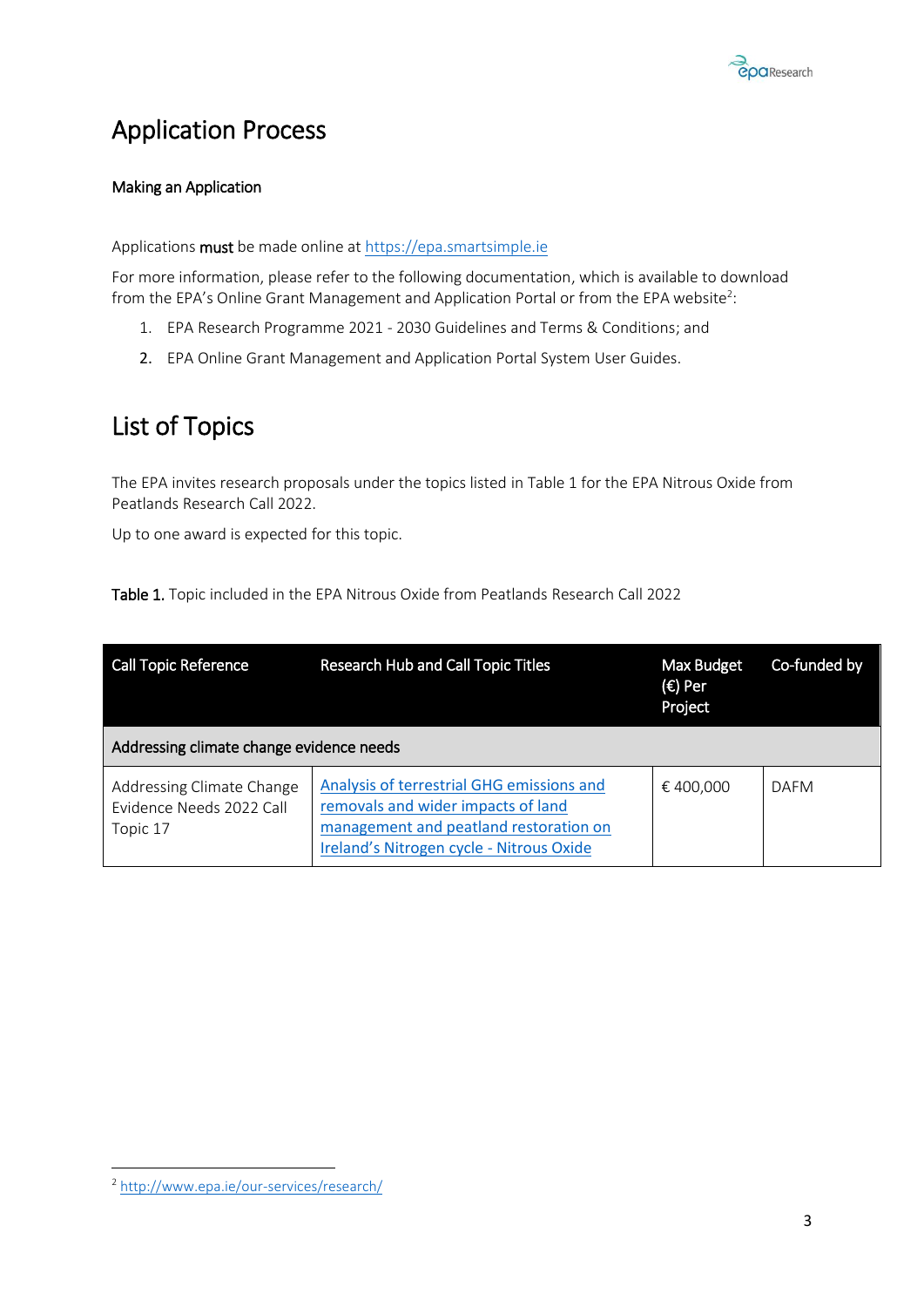

# <span id="page-5-0"></span>Application Process

#### Making an Application

Applications must be made online at [https://epa.smartsimple.ie](https://epa.smartsimple.ie/)

For more information, please refer to the following documentation, which is available to download from the EPA's Online Grant Management and Application Portal or from the EPA website<sup>2</sup>:

- 1. EPA Research Programme 2021 2030 Guidelines and Terms & Conditions; and
- 2. EPA Online Grant Management and Application Portal System User Guides.

### <span id="page-5-1"></span>List of Topics

The EPA invites research proposals under the topics listed in Table 1 for the EPA Nitrous Oxide from Peatlands Research Call 2022.

Up to one award is expected for this topic.

|  |  |  | Table 1. Topic included in the EPA Nitrous Oxide from Peatlands Research Call 2022 |  |
|--|--|--|------------------------------------------------------------------------------------|--|
|--|--|--|------------------------------------------------------------------------------------|--|

| <b>Call Topic Reference</b>                                       | Research Hub and Call Topic Titles                                                                                                                                    | Max Budget<br>(€) Per<br>Project | Co-funded by |
|-------------------------------------------------------------------|-----------------------------------------------------------------------------------------------------------------------------------------------------------------------|----------------------------------|--------------|
| Addressing climate change evidence needs                          |                                                                                                                                                                       |                                  |              |
| Addressing Climate Change<br>Evidence Needs 2022 Call<br>Topic 17 | Analysis of terrestrial GHG emissions and<br>removals and wider impacts of land<br>management and peatland restoration on<br>Ireland's Nitrogen cycle - Nitrous Oxide | € 400.000                        | DAFM         |

**<sup>.</sup>** <sup>2</sup> <http://www.epa.ie/our-services/research/>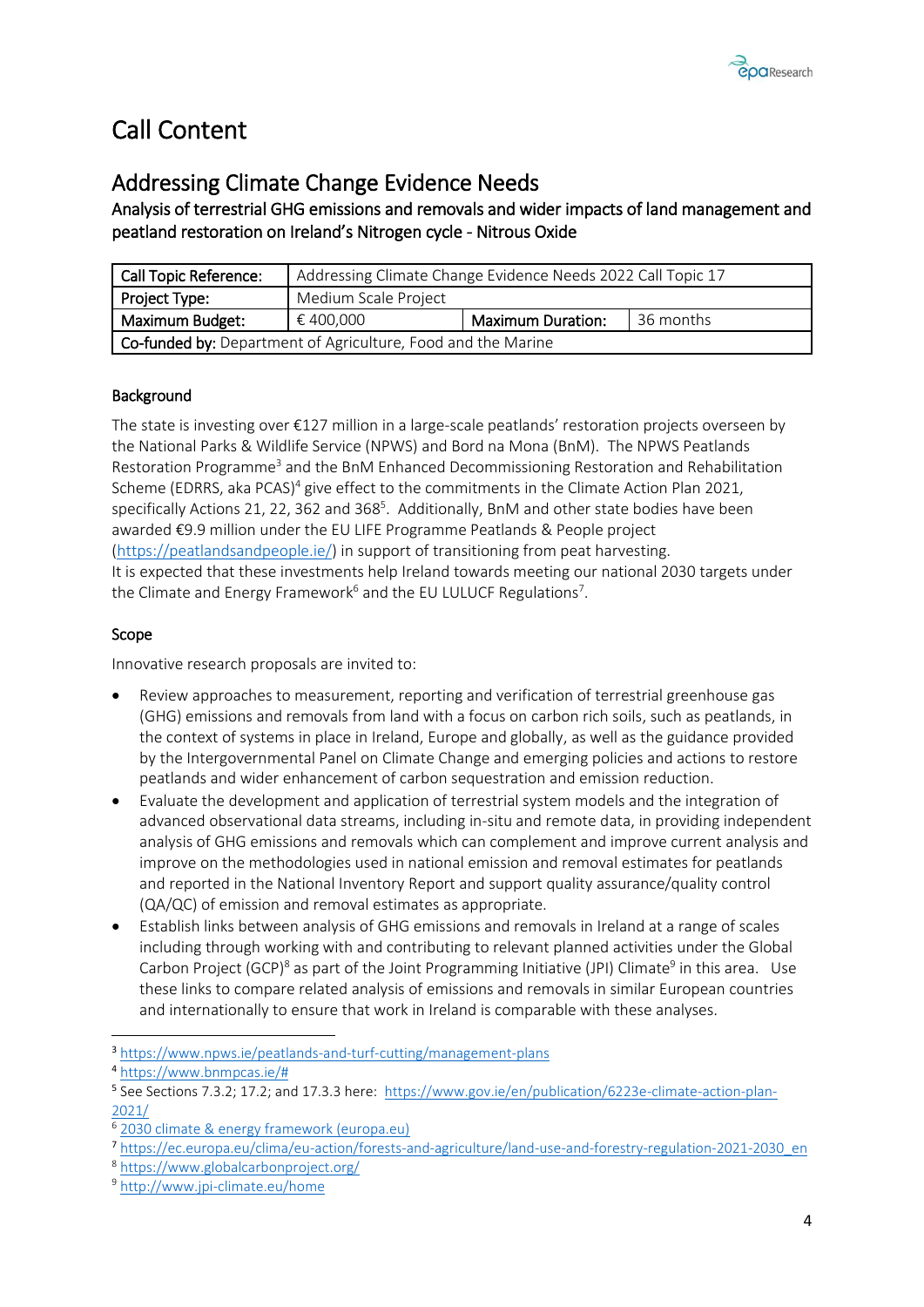# <span id="page-6-0"></span>Call Content

### <span id="page-6-1"></span>Addressing Climate Change Evidence Needs

<span id="page-6-2"></span>Analysis of terrestrial GHG emissions and removals and wider impacts of land management and peatland restoration on Ireland's Nitrogen cycle - Nitrous Oxide

| <b>Call Topic Reference:</b>                                 | Addressing Climate Change Evidence Needs 2022 Call Topic 17 |                          |           |
|--------------------------------------------------------------|-------------------------------------------------------------|--------------------------|-----------|
| Project Type:                                                | Medium Scale Project                                        |                          |           |
| Maximum Budget:                                              | € 400.000                                                   | <b>Maximum Duration:</b> | 36 months |
| Co-funded by: Department of Agriculture, Food and the Marine |                                                             |                          |           |

### **Background**

The state is investing over €127 million in a large-scale peatlands' restoration projects overseen by the National Parks & Wildlife Service (NPWS) and Bord na Mona (BnM). The NPWS Peatlands Restoration Programme<sup>3</sup> and the BnM Enhanced Decommissioning Restoration and Rehabilitation Scheme (EDRRS, aka PCAS)<sup>4</sup> give effect to the commitments in the Climate Action Plan 2021, specifically Actions 21, 22, 362 and 368<sup>5</sup>. Additionally, BnM and other state bodies have been awarded €9.9 million under the EU LIFE Programme Peatlands & People project [\(https://peatlandsandpeople.ie/\)](https://peatlandsandpeople.ie/) in support of transitioning from peat harvesting. It is expected that these investments help Ireland towards meeting our national 2030 targets under the Climate and Energy Framework<sup>6</sup> and the EU LULUCF Regulations<sup>7</sup>.

#### Scope

Innovative research proposals are invited to:

- Review approaches to measurement, reporting and verification of terrestrial greenhouse gas (GHG) emissions and removals from land with a focus on carbon rich soils, such as peatlands, in the context of systems in place in Ireland, Europe and globally, as well as the guidance provided by the Intergovernmental Panel on Climate Change and emerging policies and actions to restore peatlands and wider enhancement of carbon sequestration and emission reduction.
- Evaluate the development and application of terrestrial system models and the integration of advanced observational data streams, including in-situ and remote data, in providing independent analysis of GHG emissions and removals which can complement and improve current analysis and improve on the methodologies used in national emission and removal estimates for peatlands and reported in the National Inventory Report and support quality assurance/quality control (QA/QC) of emission and removal estimates as appropriate.
- Establish links between analysis of GHG emissions and removals in Ireland at a range of scales including through working with and contributing to relevant planned activities under the Global Carbon Project (GCP)<sup>8</sup> as part of the Joint Programming Initiative (JPI) Climate<sup>9</sup> in this area. Use these links to compare related analysis of emissions and removals in similar European countries and internationally to ensure that work in Ireland is comparable with these analyses.
- <sup>3</sup> <https://www.npws.ie/peatlands-and-turf-cutting/management-plans>

1

<sup>4</sup> [https://www.bnmpcas.ie/#](https://www.bnmpcas.ie/)

<sup>&</sup>lt;sup>5</sup> See Sections 7.3.2; 17.2; and 17.3.3 here: [https://www.gov.ie/en/publication/6223e-climate-action-plan-](https://www.gov.ie/en/publication/6223e-climate-action-plan-2021/)[2021/](https://www.gov.ie/en/publication/6223e-climate-action-plan-2021/)

[<sup>2030</sup> climate & energy framework \(europa.eu\)](https://ec.europa.eu/clima/eu-action/climate-strategies-targets/2030-climate-energy-framework_en)

<sup>7</sup> [https://ec.europa.eu/clima/eu-action/forests-and-agriculture/land-use-and-forestry-regulation-2021-2030\\_en](https://ec.europa.eu/clima/eu-action/forests-and-agriculture/land-use-and-forestry-regulation-2021-2030_en)

<sup>8</sup> <https://www.globalcarbonproject.org/>

<sup>9</sup> <http://www.jpi-climate.eu/home>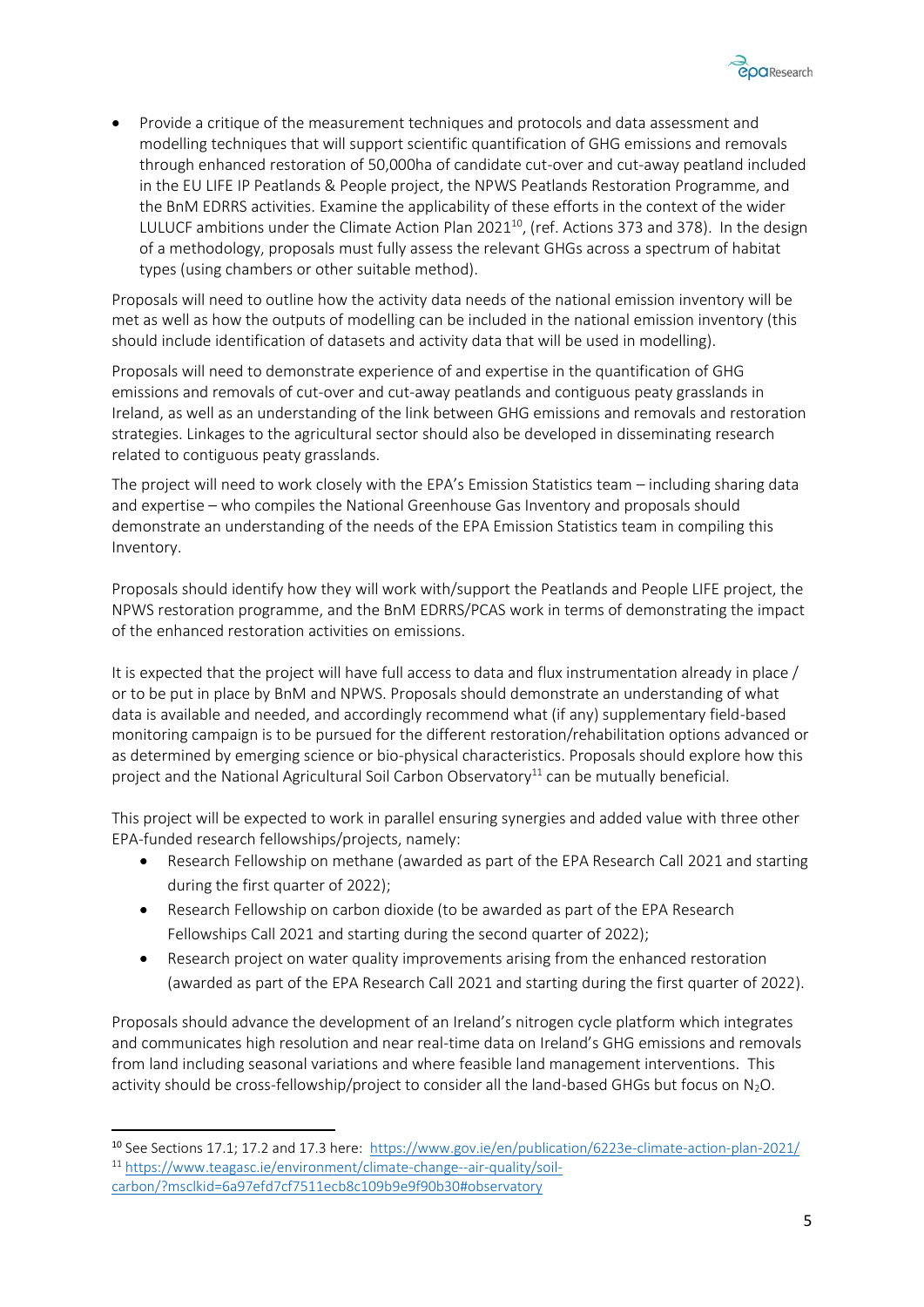

• Provide a critique of the measurement techniques and protocols and data assessment and modelling techniques that will support scientific quantification of GHG emissions and removals through enhanced restoration of 50,000ha of candidate cut-over and cut-away peatland included in the EU LIFE IP Peatlands & People project, the NPWS Peatlands Restoration Programme, and the BnM EDRRS activities. Examine the applicability of these efforts in the context of the wider LULUCF ambitions under the Climate Action Plan 2021 $^{10}$ , (ref. Actions 373 and 378). In the design of a methodology, proposals must fully assess the relevant GHGs across a spectrum of habitat types (using chambers or other suitable method).

Proposals will need to outline how the activity data needs of the national emission inventory will be met as well as how the outputs of modelling can be included in the national emission inventory (this should include identification of datasets and activity data that will be used in modelling).

Proposals will need to demonstrate experience of and expertise in the quantification of GHG emissions and removals of cut-over and cut-away peatlands and contiguous peaty grasslands in Ireland, as well as an understanding of the link between GHG emissions and removals and restoration strategies. Linkages to the agricultural sector should also be developed in disseminating research related to contiguous peaty grasslands.

The project will need to work closely with the EPA's Emission Statistics team – including sharing data and expertise – who compiles the National Greenhouse Gas Inventory and proposals should demonstrate an understanding of the needs of the EPA Emission Statistics team in compiling this Inventory.

Proposals should identify how they will work with/support the Peatlands and People LIFE project, the NPWS restoration programme, and the BnM EDRRS/PCAS work in terms of demonstrating the impact of the enhanced restoration activities on emissions.

It is expected that the project will have full access to data and flux instrumentation already in place / or to be put in place by BnM and NPWS. Proposals should demonstrate an understanding of what data is available and needed, and accordingly recommend what (if any) supplementary field-based monitoring campaign is to be pursued for the different restoration/rehabilitation options advanced or as determined by emerging science or bio-physical characteristics. Proposals should explore how this project and the National Agricultural Soil Carbon Observatory<sup>11</sup> can be mutually beneficial.

This project will be expected to work in parallel ensuring synergies and added value with three other EPA-funded research fellowships/projects, namely:

- Research Fellowship on methane (awarded as part of the EPA Research Call 2021 and starting during the first quarter of 2022);
- Research Fellowship on carbon dioxide (to be awarded as part of the EPA Research Fellowships Call 2021 and starting during the second quarter of 2022);
- Research project on water quality improvements arising from the enhanced restoration (awarded as part of the EPA Research Call 2021 and starting during the first quarter of 2022).

Proposals should advance the development of an Ireland's nitrogen cycle platform which integrates and communicates high resolution and near real-time data on Ireland's GHG emissions and removals from land including seasonal variations and where feasible land management interventions. This activity should be cross-fellowship/project to consider all the land-based GHGs but focus on  $N_2O$ .

**.** 

<sup>&</sup>lt;sup>10</sup> See Sections 17.1; 17.2 and 17.3 here:<https://www.gov.ie/en/publication/6223e-climate-action-plan-2021/> <sup>11</sup> [https://www.teagasc.ie/environment/climate-change--air-quality/soil](https://www.teagasc.ie/environment/climate-change--air-quality/soil-carbon/?msclkid=6a97efd7cf7511ecb8c109b9e9f90b30#observatory)[carbon/?msclkid=6a97efd7cf7511ecb8c109b9e9f90b30#observatory](https://www.teagasc.ie/environment/climate-change--air-quality/soil-carbon/?msclkid=6a97efd7cf7511ecb8c109b9e9f90b30#observatory)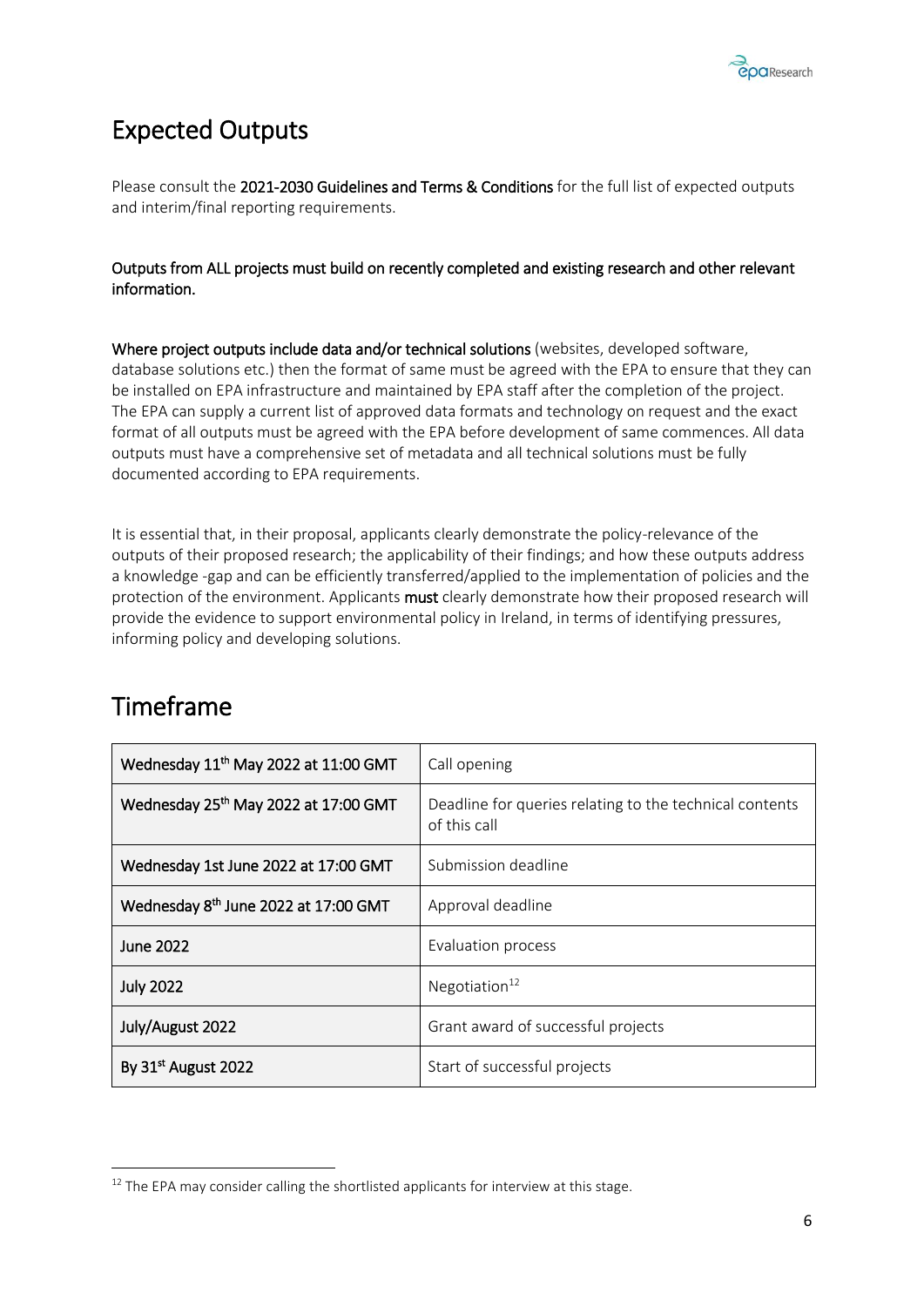

# <span id="page-8-0"></span>Expected Outputs

Please consult the 2021-2030 Guidelines and Terms & Conditions for the full list of expected outputs and interim/final reporting requirements.

#### Outputs from ALL projects must build on recently completed and existing research and other relevant information.

Where project outputs include data and/or technical solutions (websites, developed software, database solutions etc.) then the format of same must be agreed with the EPA to ensure that they can be installed on EPA infrastructure and maintained by EPA staff after the completion of the project. The EPA can supply a current list of approved data formats and technology on request and the exact format of all outputs must be agreed with the EPA before development of same commences. All data outputs must have a comprehensive set of metadata and all technical solutions must be fully documented according to EPA requirements.

It is essential that, in their proposal, applicants clearly demonstrate the policy-relevance of the outputs of their proposed research; the applicability of their findings; and how these outputs address a knowledge -gap and can be efficiently transferred/applied to the implementation of policies and the protection of the environment. Applicants must clearly demonstrate how their proposed research will provide the evidence to support environmental policy in Ireland, in terms of identifying pressures, informing policy and developing solutions.

| Wednesday 11 <sup>th</sup> May 2022 at 11:00 GMT | Call opening                                                            |
|--------------------------------------------------|-------------------------------------------------------------------------|
| Wednesday 25th May 2022 at 17:00 GMT             | Deadline for queries relating to the technical contents<br>of this call |
| Wednesday 1st June 2022 at 17:00 GMT             | Submission deadline                                                     |
| Wednesday 8 <sup>th</sup> June 2022 at 17:00 GMT | Approval deadline                                                       |
| June 2022                                        | Evaluation process                                                      |
| <b>July 2022</b>                                 | Negotiation $12$                                                        |
| July/August 2022                                 | Grant award of successful projects                                      |
| By 31 <sup>st</sup> August 2022                  | Start of successful projects                                            |

### <span id="page-8-1"></span>Timeframe

**.** 

 $12$  The EPA may consider calling the shortlisted applicants for interview at this stage.